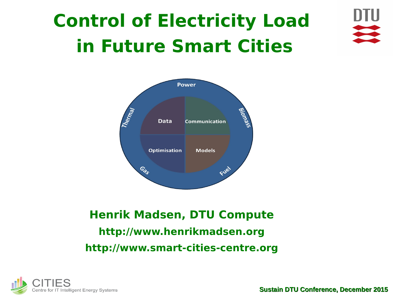# **Control of Electricity Load in Future Smart Cities**





### **Henrik Madsen, DTU Compute [http://www.henrikmadsen.org](http://www.henrikmadsen.org/) http://www.smart-cities-centre.org**

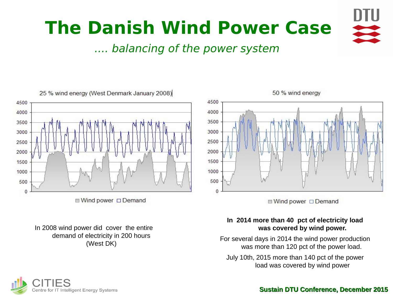

.... balancing of the power system



■ Wind power □ Demand

In 2008 wind power did cover the entire demand of electricity in 200 hours (West DK)



 $\Box$  Wind power  $\Box$  Demand

#### **In 2014 more than 40 pct of electricity load was covered by wind power.**

For several days in 2014 the wind power production was more than 120 pct of the power load.

July 10th, 2015 more than 140 pct of the power load was covered by wind power

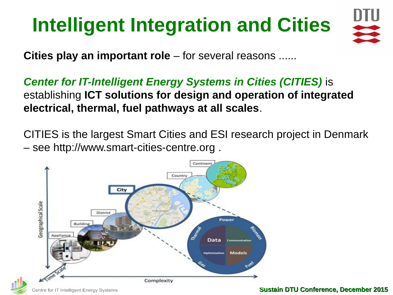# **Intelligent Integration and Cities**



**Cities play an important role** – for several reasons ......

*Center for IT-Intelligent Energy Systems in Cities (CITIES)* is establishing **ICT solutions for design and operation of integrated electrical, thermal, fuel pathways at all scales**.

CITIES is the largest Smart Cities and ESI research project in Denmark – see [http://www.smart-cities-centre.org](http://www.smart-cities-centre.org/) .





**Sustain DTU Conference, December 2015**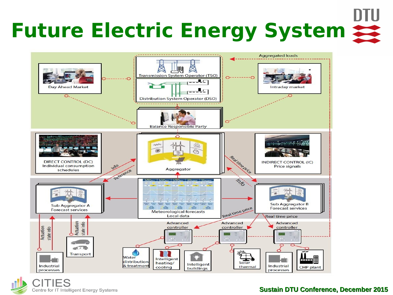# **Future Electric Energy System**



CITIES Centre for IT Intelligent Energy Systems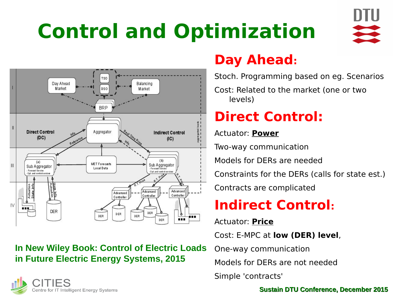# **Control and Optimization**





### **In New Wiley Book: Control of Electric Loads in Future Electric Energy Systems, 2015**

### **Day Ahead:**

Stoch. Programming based on eg. Scenarios

Cost: Related to the market (one or two levels)

## **Direct Control:**

Actuator: **Power**

Two-way communication

Models for DERs are needed

Constraints for the DERs (calls for state est.)

Contracts are complicated

## **Indirect Control:**

Actuator: **Price**

Cost: E-MPC at **low (DER) level**,

One-way communication

Models for DERs are not needed

Simple 'contracts'

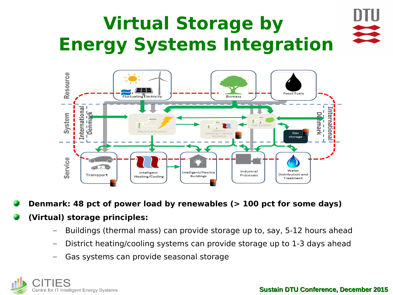# **Virtual Storage by Energy Systems Integration**



**Denmark: 48 pct of power load by renewables (> 100 pct for some days)**

### **(Virtual) storage principles:**

- Buildings (thermal mass) can provide storage up to, say, 5-12 hours ahead
- District heating/cooling systems can provide storage up to 1-3 days ahead
- Gas systems can provide seasonal storage

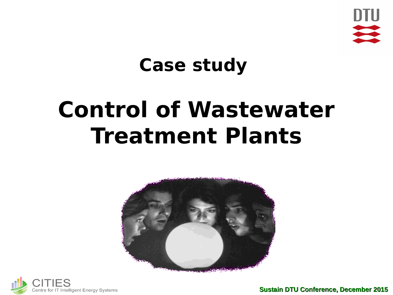

## **Case study**

# **Control of Wastewater Treatment Plants**



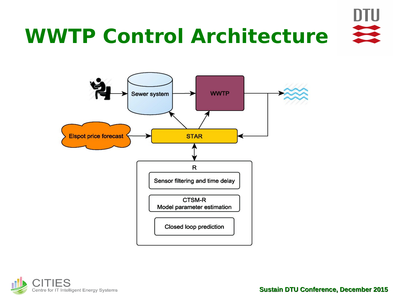



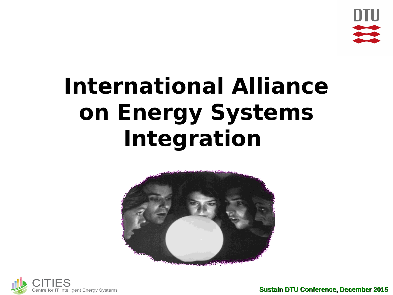

# **International Alliance on Energy Systems Integration**



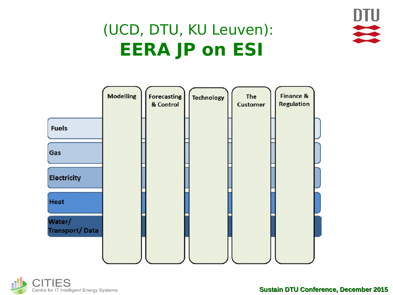

## (UCD, DTU, KU Leuven): **EERA JP on ESI**